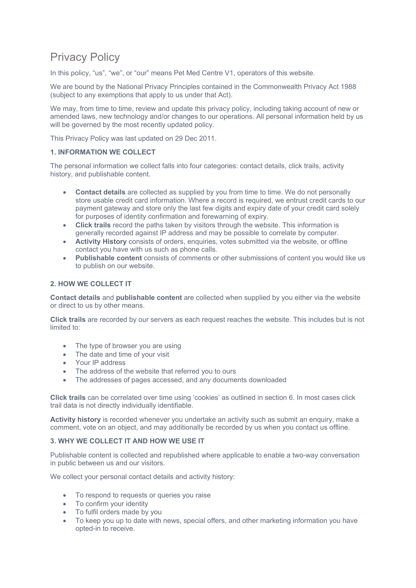# Privacy Policy

In this policy, "us", "we", or "our" means Pet Med Centre V1, operators of this website.

We are bound by the National Privacy Principles contained in the Commonwealth Privacy Act 1988 (subject to any exemptions that apply to us under that Act).

We may, from time to time, review and update this privacy policy, including taking account of new or amended laws, new technology and/or changes to our operations. All personal information held by us will be governed by the most recently updated policy.

This Privacy Policy was last updated on 29 Dec 2011.

# **1. INFORMATION WE COLLECT**

The personal information we collect falls into four categories: contact details, click trails, activity history, and publishable content.

- **Contact details** are collected as supplied by you from time to time. We do not personally store usable credit card information. Where a record is required, we entrust credit cards to our payment gateway and store only the last few digits and expiry date of your credit card solely for purposes of identity confirmation and forewarning of expiry.
- **Click trails** record the paths taken by visitors through the website. This information is generally recorded against IP address and may be possible to correlate by computer.
- **Activity History** consists of orders, enquiries, votes submitted via the website, or offline contact you have with us such as phone calls.
- **Publishable content** consists of comments or other submissions of content you would like us to publish on our website.

# **2. HOW WE COLLECT IT**

**Contact details** and **publishable content** are collected when supplied by you either via the website or direct to us by other means.

**Click trails** are recorded by our servers as each request reaches the website. This includes but is not limited to:

- The type of browser you are using
- The date and time of your visit
- Your IP address
- The address of the website that referred you to ours
- The addresses of pages accessed, and any documents downloaded

**Click trails** can be correlated over time using 'cookies' as outlined in section 6. In most cases click trail data is not directly individually identifiable.

**Activity history** is recorded whenever you undertake an activity such as submit an enquiry, make a comment, vote on an object, and may additionally be recorded by us when you contact us offline.

# **3. WHY WE COLLECT IT AND HOW WE USE IT**

Publishable content is collected and republished where applicable to enable a two-way conversation in public between us and our visitors.

We collect your personal contact details and activity history:

- To respond to requests or queries you raise
- To confirm your identity
- To fulfil orders made by you
- To keep you up to date with news, special offers, and other marketing information you have opted-in to receive.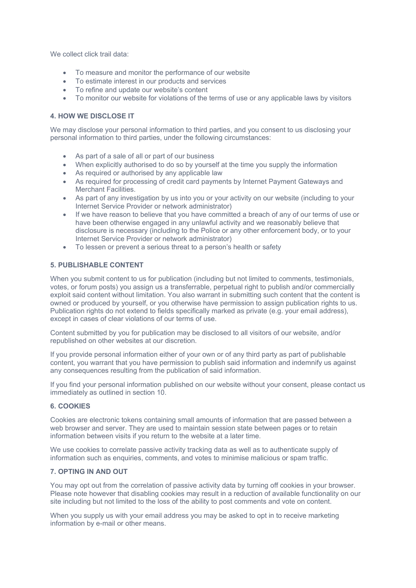We collect click trail data:

- To measure and monitor the performance of our website
- To estimate interest in our products and services
- To refine and update our website's content
- To monitor our website for violations of the terms of use or any applicable laws by visitors

#### **4. HOW WE DISCLOSE IT**

We may disclose your personal information to third parties, and you consent to us disclosing your personal information to third parties, under the following circumstances:

- As part of a sale of all or part of our business
- When explicitly authorised to do so by yourself at the time you supply the information
- As required or authorised by any applicable law
- As required for processing of credit card payments by Internet Payment Gateways and Merchant Facilities.
- As part of any investigation by us into you or your activity on our website (including to your Internet Service Provider or network administrator)
- If we have reason to believe that you have committed a breach of any of our terms of use or have been otherwise engaged in any unlawful activity and we reasonably believe that disclosure is necessary (including to the Police or any other enforcement body, or to your Internet Service Provider or network administrator)
- To lessen or prevent a serious threat to a person's health or safety

# **5. PUBLISHABLE CONTENT**

When you submit content to us for publication (including but not limited to comments, testimonials, votes, or forum posts) you assign us a transferrable, perpetual right to publish and/or commercially exploit said content without limitation. You also warrant in submitting such content that the content is owned or produced by yourself, or you otherwise have permission to assign publication rights to us. Publication rights do not extend to fields specifically marked as private (e.g. your email address), except in cases of clear violations of our terms of use.

Content submitted by you for publication may be disclosed to all visitors of our website, and/or republished on other websites at our discretion.

If you provide personal information either of your own or of any third party as part of publishable content, you warrant that you have permission to publish said information and indemnify us against any consequences resulting from the publication of said information.

If you find your personal information published on our website without your consent, please contact us immediately as outlined in section 10.

#### **6. COOKIES**

Cookies are electronic tokens containing small amounts of information that are passed between a web browser and server. They are used to maintain session state between pages or to retain information between visits if you return to the website at a later time.

We use cookies to correlate passive activity tracking data as well as to authenticate supply of information such as enquiries, comments, and votes to minimise malicious or spam traffic.

# **7. OPTING IN AND OUT**

You may opt out from the correlation of passive activity data by turning off cookies in your browser. Please note however that disabling cookies may result in a reduction of available functionality on our site including but not limited to the loss of the ability to post comments and vote on content.

When you supply us with your email address you may be asked to opt in to receive marketing information by e-mail or other means.